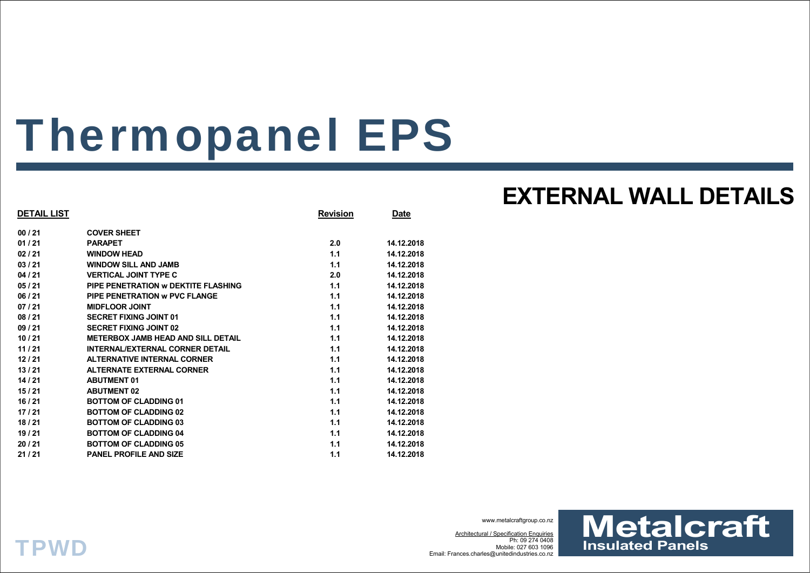# Thermopanel EPS

| DETAIL LIST |                                           | <b>Revision</b> | <u>Date</u> |
|-------------|-------------------------------------------|-----------------|-------------|
| 00 / 21     | <b>COVER SHEET</b>                        |                 |             |
| 01 / 21     | <b>PARAPET</b>                            | 2.0             | 14.12.2018  |
| 02 / 21     | <b>WINDOW HEAD</b>                        | 1.1             | 14.12.2018  |
| 03 / 21     | <b>WINDOW SILL AND JAMB</b>               | 1.1             | 14.12.2018  |
| 04 / 21     | <b>VERTICAL JOINT TYPE C</b>              | 2.0             | 14.12.2018  |
| 05 / 21     | PIPE PENETRATION W DEKTITE FLASHING       | 1.1             | 14.12.2018  |
| 06 / 21     | PIPE PENETRATION W PVC FLANGE             | 1.1             | 14.12.2018  |
| 07 / 21     | <b>MIDFLOOR JOINT</b>                     | 1.1             | 14.12.2018  |
| 08/21       | <b>SECRET FIXING JOINT 01</b>             | 1.1             | 14.12.2018  |
| 09 / 21     | <b>SECRET FIXING JOINT 02</b>             | 1.1             | 14.12.2018  |
| 10 / 21     | <b>METERBOX JAMB HEAD AND SILL DETAIL</b> | 1.1             | 14.12.2018  |
| 11 / 21     | <b>INTERNAL/EXTERNAL CORNER DETAIL</b>    | 1.1             | 14.12.2018  |
| 12 / 21     | <b>ALTERNATIVE INTERNAL CORNER</b>        | 1.1             | 14.12.2018  |
| 13/21       | <b>ALTERNATE EXTERNAL CORNER</b>          | 1.1             | 14.12.2018  |
| 14 / 21     | <b>ABUTMENT 01</b>                        | 1.1             | 14.12.2018  |
| 15 / 21     | <b>ABUTMENT 02</b>                        | 1.1             | 14.12.2018  |
| 16 / 21     | <b>BOTTOM OF CLADDING 01</b>              | 1.1             | 14.12.2018  |
| 17 / 21     | <b>BOTTOM OF CLADDING 02</b>              | 1.1             | 14.12.2018  |
| 18 / 21     | <b>BOTTOM OF CLADDING 03</b>              | 1.1             | 14.12.2018  |
| 19 / 21     | <b>BOTTOM OF CLADDING 04</b>              | 1.1             | 14.12.2018  |
| 20 / 21     | <b>BOTTOM OF CLADDING 05</b>              | 1.1             | 14.12.2018  |
| 21 / 21     | <b>PANEL PROFILE AND SIZE</b>             | 1.1             | 14.12.2018  |
|             |                                           |                 |             |

## **EXTERNAL WALL DETAILS**

www.metalcraftgroup.co.nz

Architectural / Specification Enquiries Ph: 09 274 0408 Mobile: 027 603 1096Email: Frances.charles@unitedindustries.co.nz



## **TPWD**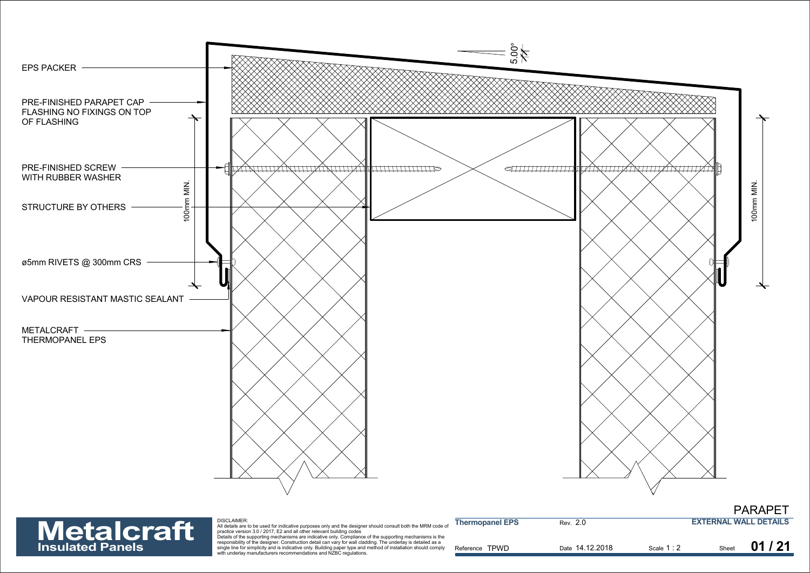



| <b>Metalcraft</b>       | <b>DISCLAIMER:</b><br>All details are to be used for indicative purposes only and the designer should consult both the MRM code of<br>practice version 3.0 / 2017. E2 and all other relevant building codes<br>Details of the supporting mechanisms are indicative only. Compliance of the supporting mechanisms is the | <b>Thermopanel EPS</b> | Rev. 2.0        |           | <b>EXTERNAL WALL DETAILS</b> |       |
|-------------------------|-------------------------------------------------------------------------------------------------------------------------------------------------------------------------------------------------------------------------------------------------------------------------------------------------------------------------|------------------------|-----------------|-----------|------------------------------|-------|
| <b>Insulated Panels</b> | responsibility of the designer. Construction detail can vary for wall cladding. The underlay is detailed as a<br>single line for simplicity and is indicative only. Building paper type and method of installation should comply<br>with underlay manufacturers recommendations and NZBC regulations.                   | Reference TPWD         | Date 14.12.2018 | Scale 1:2 | Sheet                        | 01/21 |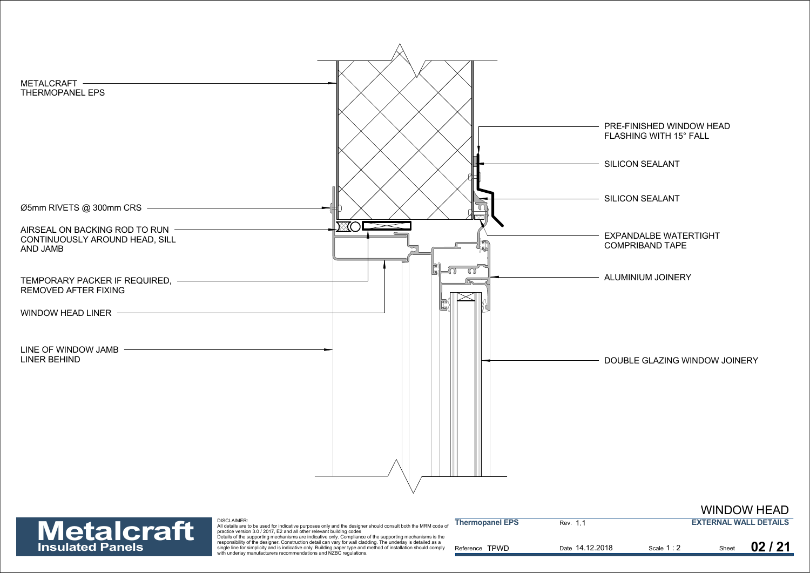



| <b>Metalcraft</b>       | <b>DISCLAIMER:</b><br>All details are to be used for indicative purposes only and the designer should consult both the MRM code of<br>practice version 3.0 / 2017. E2 and all other relevant building codes                                                                                                                                                                                                       | <b>Thermopanel EPS</b> | Rev. 1.1        |             | <b>EXTERNAL WALL DETAILS</b> |       |
|-------------------------|-------------------------------------------------------------------------------------------------------------------------------------------------------------------------------------------------------------------------------------------------------------------------------------------------------------------------------------------------------------------------------------------------------------------|------------------------|-----------------|-------------|------------------------------|-------|
| <b>Insulated Panels</b> | Details of the supporting mechanisms are indicative only. Compliance of the supporting mechanisms is the<br>responsibility of the designer. Construction detail can vary for wall cladding. The underlay is detailed as a<br>single line for simplicity and is indicative only. Building paper type and method of installation should comply<br>with underlay manufacturers recommendations and NZBC regulations. | Reference TPWD         | Date 14.12.2018 | Scale 1 : 2 | Sheet                        | 02/21 |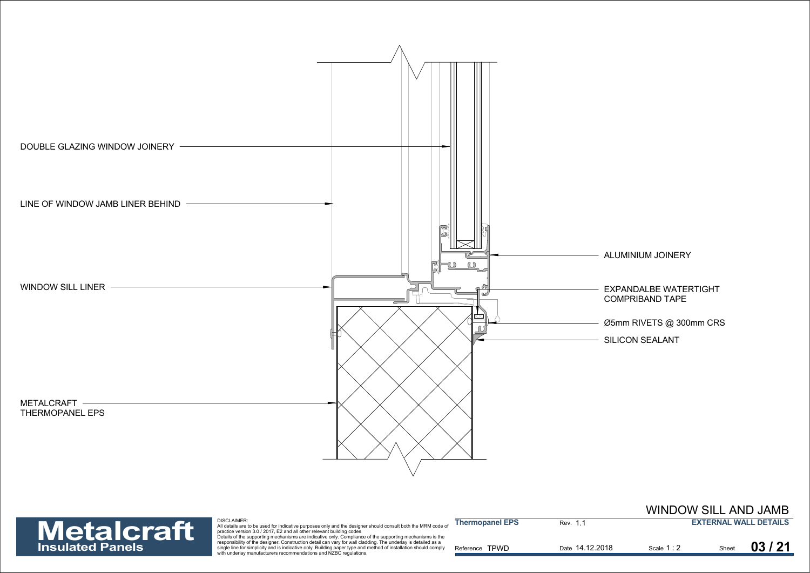



| <b>Metalcraft</b>       | DISCLAIMER:<br>" All details are to be used for indicative purposes only and the designer should consult both the MRM code of<br>practice version 3.0 / 2017. E2 and all other relevant building codes                                                                                                                                                                                                            | <b>Thermopanel EPS</b> | Rev. 1.1        |             | <b>EXTERNAL WALL DETAILS</b> |
|-------------------------|-------------------------------------------------------------------------------------------------------------------------------------------------------------------------------------------------------------------------------------------------------------------------------------------------------------------------------------------------------------------------------------------------------------------|------------------------|-----------------|-------------|------------------------------|
| <b>Insulated Panels</b> | Details of the supporting mechanisms are indicative only. Compliance of the supporting mechanisms is the<br>responsibility of the designer. Construction detail can vary for wall cladding. The underlay is detailed as a<br>single line for simplicity and is indicative only. Building paper type and method of installation should comply<br>with underlay manufacturers recommendations and NZBC regulations. | Reference TPWD         | Date 14.12.2018 | Scale 1 : 2 | 03/21                        |

WINDOW SILL AND JAMB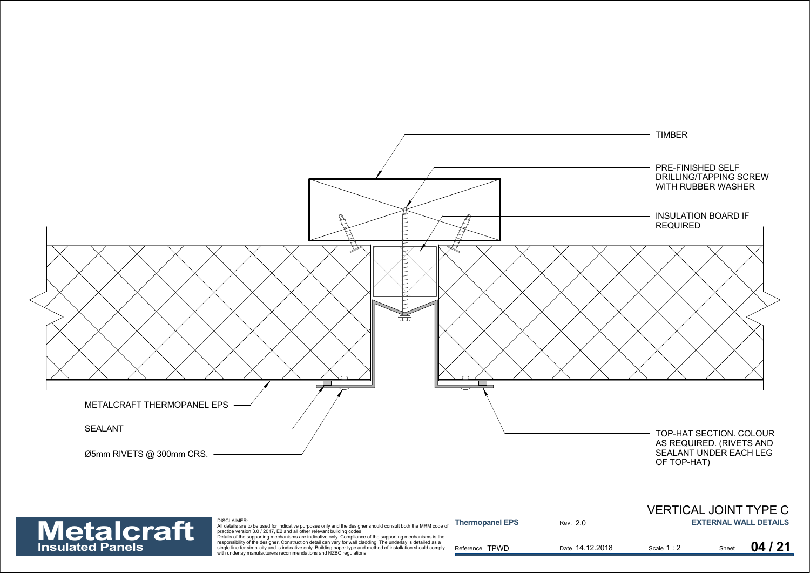



| <b>Metalcraft</b>       | <b>DISCLAIMER:</b><br>All details are to be used for indicative purposes only and the designer should consult both the MRM code of<br>practice version 3.0 / 2017, E2 and all other relevant building codes                                                                                                                                                                                                       | <b>Thermopanel EPS</b> | Rev. 2.0        |           |       | <b>EXTERNAL WALL DETAILS</b> |
|-------------------------|-------------------------------------------------------------------------------------------------------------------------------------------------------------------------------------------------------------------------------------------------------------------------------------------------------------------------------------------------------------------------------------------------------------------|------------------------|-----------------|-----------|-------|------------------------------|
| <b>Insulated Panels</b> | Details of the supporting mechanisms are indicative only. Compliance of the supporting mechanisms is the<br>responsibility of the designer. Construction detail can vary for wall cladding. The underlay is detailed as a<br>single line for simplicity and is indicative only. Building paper type and method of installation should comply<br>with underlay manufacturers recommendations and NZBC regulations. | Reference TPWD         | Date 14.12.2018 | Scale 1:2 | Sheet | 04/21                        |

VERTICAL JOINT TYPE C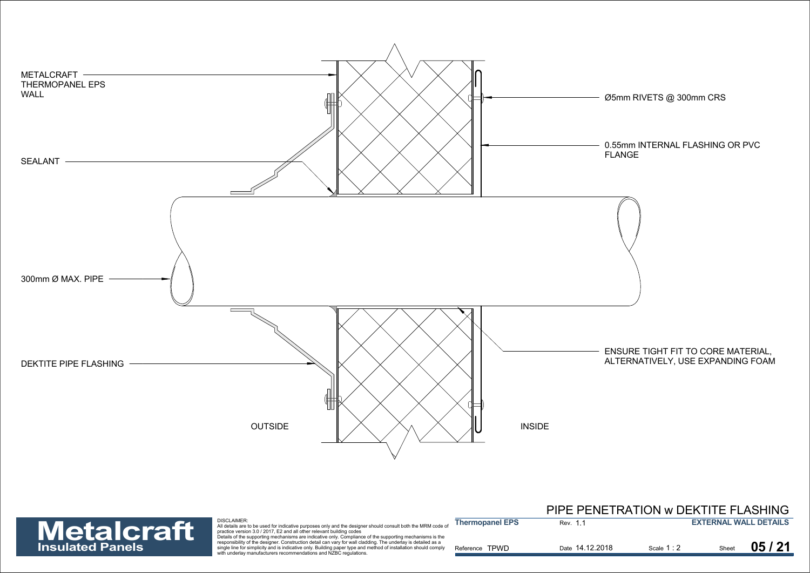



|                        |         | PIPE PENETRATION W DEKTITE FLASHING |
|------------------------|---------|-------------------------------------|
| <b>Thermopanel EPS</b> | Rev. 11 | <b>EXTERNAL WALL DETAILS</b>        |

| 71 CH L | Details of the supporting mechanisms are indicative only. Compliance of the supporting mechanisms is the        |                          |                 |           |       |             |
|---------|-----------------------------------------------------------------------------------------------------------------|--------------------------|-----------------|-----------|-------|-------------|
|         | responsibility of the designer. Construction detail can vary for wall cladding. The underlay is detailed as a   |                          |                 |           |       | <b>1 אר</b> |
|         | single line for simplicity and is indicative only. Building paper type and method of installation should comply | <b>TPWD</b><br>Reference | Date 14.12.2018 | Scale 1:2 | Sheet | 05          |
|         | with underlay manufacturers recommendations and NZBC regulations.                                               |                          |                 |           |       |             |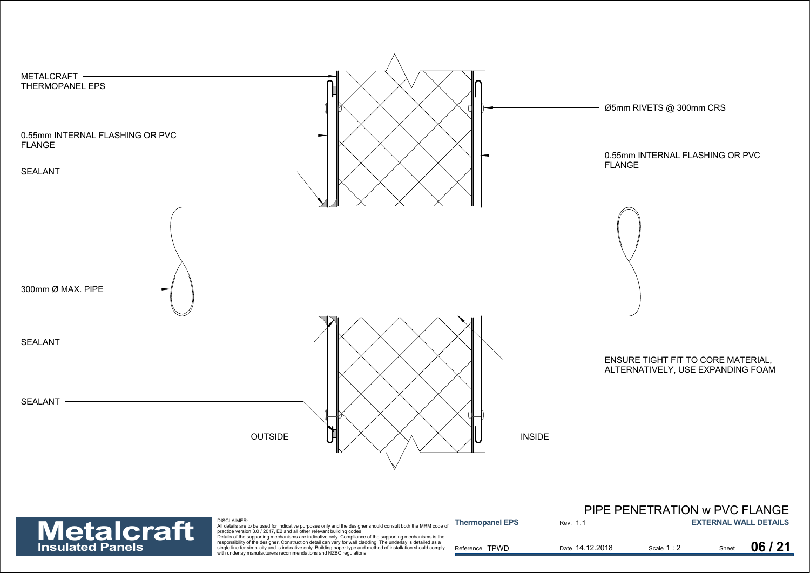



Sentian the for simplicity and is indicative only. Building paper type and method of installation should comply<br>Reference TPWD Date 14.12.2018 Shalet Scale 1: 2 Sheet

|                         |                                                                                                                                                                                                                                                                                                                                              |                        |                 | PIPE PENETRATION w PVC FLANGE |                              |
|-------------------------|----------------------------------------------------------------------------------------------------------------------------------------------------------------------------------------------------------------------------------------------------------------------------------------------------------------------------------------------|------------------------|-----------------|-------------------------------|------------------------------|
| Metalcraft              | <b>DISCLAIMER:</b><br>All details are to be used for indicative purposes only and the designer should consult both the MRM code of<br>practice version 3.0 / 2017. E2 and all other relevant building codes                                                                                                                                  | <b>Thermopanel EPS</b> | Rev. 1.1        |                               | <b>EXTERNAL WALL DETAILS</b> |
| <b>Insulated Panels</b> | Details of the supporting mechanisms are indicative only. Compliance of the supporting mechanisms is the<br>responsibility of the designer. Construction detail can vary for wall cladding. The underlay is detailed as a<br>single line for simplicity and is indicative only. Building paper type and method of installation should comply | Reference TPWD         | Date 14.12.2018 | Scale 1:2                     | 06/21                        |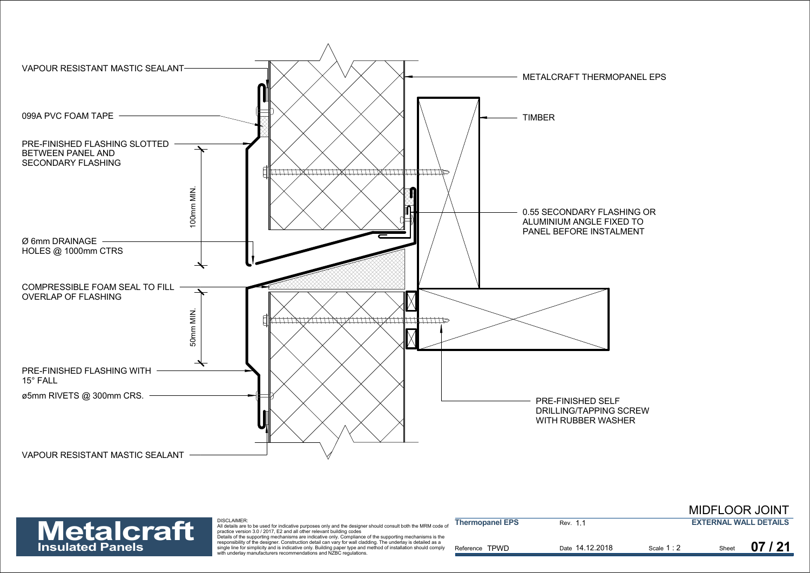

|                         |                                                                                                                                                                                                                                                                                                                                                                                                                   |                        |                 |           | <b>MIDFLOOR JOINT</b>        |
|-------------------------|-------------------------------------------------------------------------------------------------------------------------------------------------------------------------------------------------------------------------------------------------------------------------------------------------------------------------------------------------------------------------------------------------------------------|------------------------|-----------------|-----------|------------------------------|
| Metalcraft              | <b>DISCLAIMER:</b><br>All details are to be used for indicative purposes only and the designer should consult both the MRM code of<br>practice version 3.0 / 2017, E2 and all other relevant building codes                                                                                                                                                                                                       | <b>Thermopanel EPS</b> | Rev. 1          |           | <b>EXTERNAL WALL DETAILS</b> |
| <b>Insulated Panels</b> | Details of the supporting mechanisms are indicative only. Compliance of the supporting mechanisms is the<br>responsibility of the designer. Construction detail can vary for wall cladding. The underlay is detailed as a<br>single line for simplicity and is indicative only. Building paper type and method of installation should comply<br>with underlay manufacturers recommendations and NZBC regulations. | Reference TPWD         | Date 14.12.2018 | Scale 1:2 | 07/21<br>Sheet               |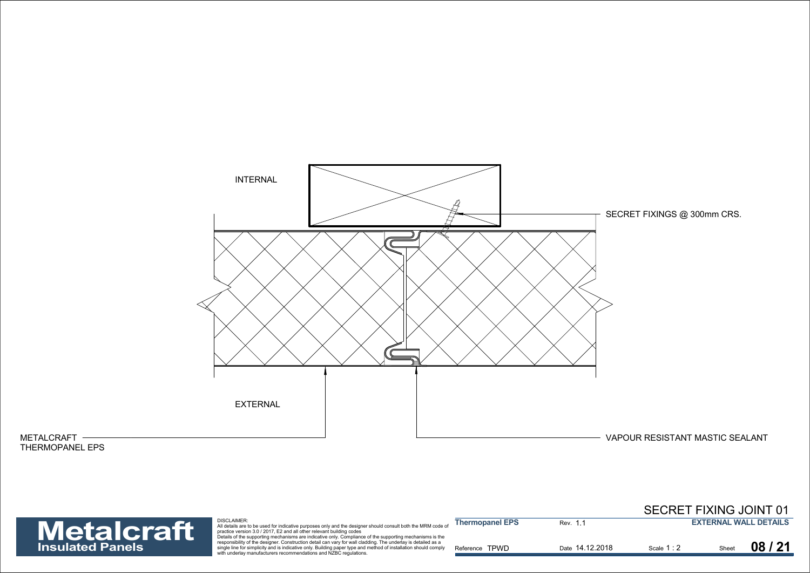

## METALCRAFT THERMOPANEL EPS

## **Insulated Panels**

| <b>Metalcraft</b>       | <b>DISCLAIMER:</b><br>All details are to be used for indicative purposes only and the designer should consult both the MRM code of<br>practice version 3.0 / 2017. E2 and all other relevant building codes<br>Details of the supporting mechanisms are indicative only. Compliance of the supporting mechanisms is the | <b>Thermopanel EPS</b> | Rev. 1.1        |           | <b>EXTERNAL WALL DETAILS</b> |       |
|-------------------------|-------------------------------------------------------------------------------------------------------------------------------------------------------------------------------------------------------------------------------------------------------------------------------------------------------------------------|------------------------|-----------------|-----------|------------------------------|-------|
| <b>Insulated Panels</b> | responsibility of the designer. Construction detail can vary for wall cladding. The underlay is detailed as a<br>single line for simplicity and is indicative only. Building paper type and method of installation should comply<br>with underlay manufacturers recommendations and NZBC regulations.                   | Reference TPWD         | Date 14.12.2018 | Scale 1:2 | Sheet                        | 08/21 |

SECRET FIXING JOINT 01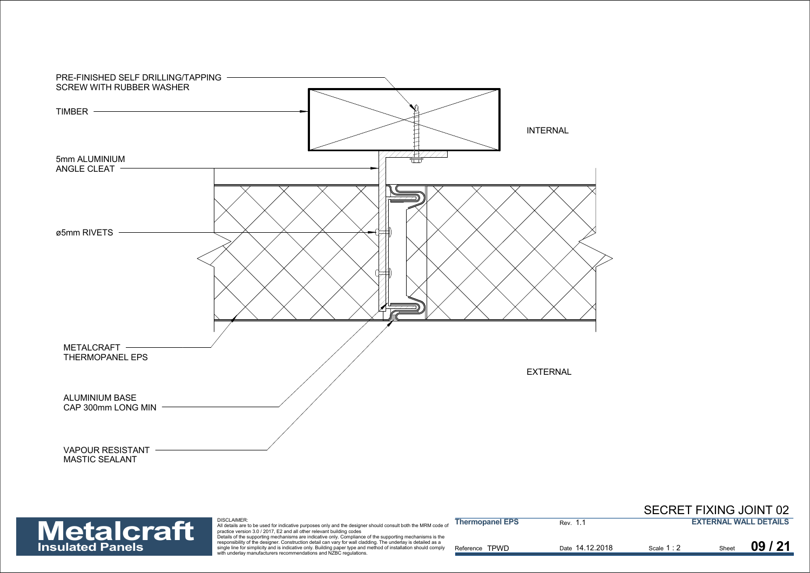

## SECRET FIXING JOINT 02



| <b>Metalcraft</b>       | DISCLAIMER:<br>All details are to be used for indicative purposes only and the designer should consult both the MRM code of<br>practice version 3.0 / 2017. E2 and all other relevant building codes<br>Details of the supporting mechanisms are indicative only. Compliance of the supporting mechanisms is the | <b>Thermopanel EPS</b> | Rev. 1          |             |       | <b>EXTERNAL WALL DETAILS</b> |
|-------------------------|------------------------------------------------------------------------------------------------------------------------------------------------------------------------------------------------------------------------------------------------------------------------------------------------------------------|------------------------|-----------------|-------------|-------|------------------------------|
| <b>Insulated Panels</b> | responsibility of the designer. Construction detail can vary for wall cladding. The underlay is detailed as a<br>single line for simplicity and is indicative only. Building paper type and method of installation should comply<br>with underlay manufacturers recommendations and NZBC regulations.            | Reference TPWD         | Date 14.12.2018 | Scale 1 : 2 | Sheet | 09/21                        |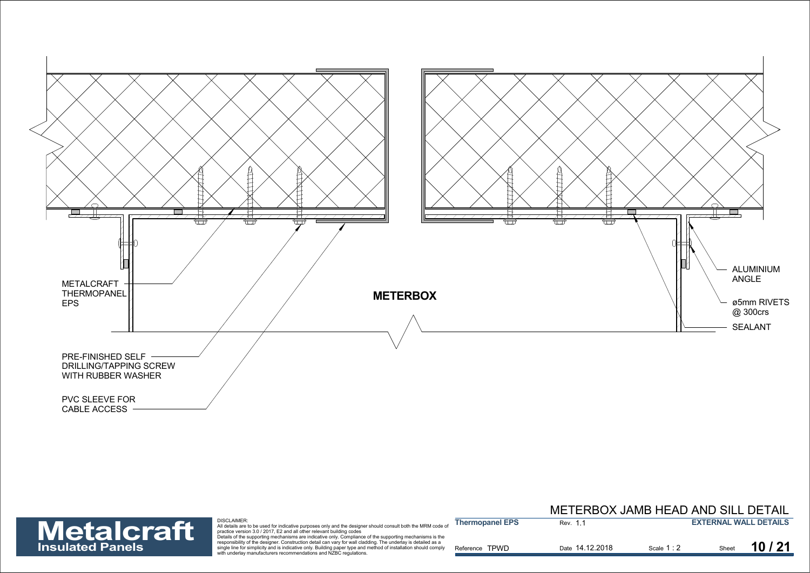



Sentian the for simplicity and is indicative only. Building paper type and method of installation should comply<br>Reference TPWD Date 14.12.2018 Shalet Scale 1: 2 Sheet

|                         |                                                                                                                                                                                                                                                                                                                                              |                        | METERBOX JAMB HEAD AND SILL DETAIL |             |       |                              |
|-------------------------|----------------------------------------------------------------------------------------------------------------------------------------------------------------------------------------------------------------------------------------------------------------------------------------------------------------------------------------------|------------------------|------------------------------------|-------------|-------|------------------------------|
| <b>Metalcraft</b>       | <b>DISCLAIMER:</b><br>All details are to be used for indicative purposes only and the designer should consult both the MRM code of<br>practice version 3.0 / 2017. E2 and all other relevant building codes                                                                                                                                  | <b>Thermopanel EPS</b> | Rev. 1.                            |             |       | <b>EXTERNAL WALL DETAILS</b> |
| <b>Insulated Panels</b> | Details of the supporting mechanisms are indicative only. Compliance of the supporting mechanisms is the<br>responsibility of the designer. Construction detail can vary for wall cladding. The underlay is detailed as a<br>single line for simplicity and is indicative only. Building paper type and method of installation should comply | Reference TPWD         | Date 14.12.2018                    | Scale $1:2$ | Sheet | 10/21                        |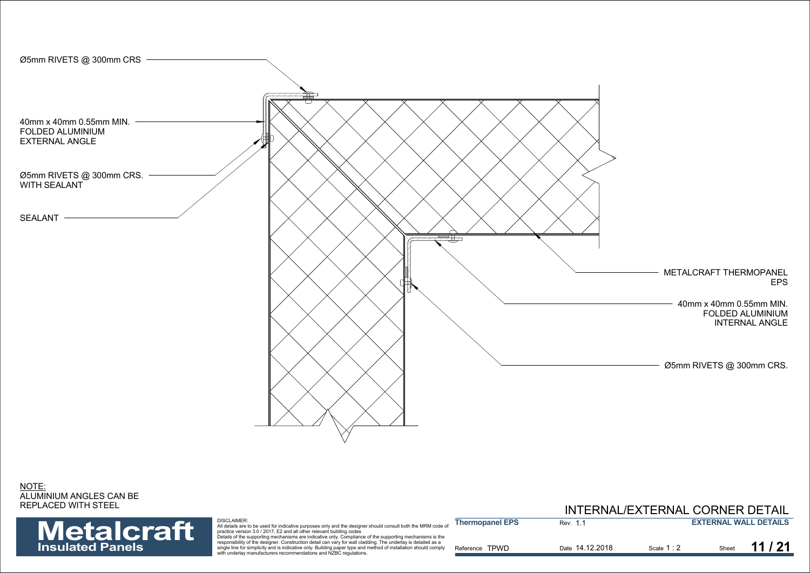

NOTE: ALUMINIUM ANGLES CAN BE REPLACED WITH STEEL

| LACED WITH STEEL        |                                                                                                                                                                                                                                                                                                                         |                        | INTERNAL/EXTERNAL CORNER DETAIL |           |                              |
|-------------------------|-------------------------------------------------------------------------------------------------------------------------------------------------------------------------------------------------------------------------------------------------------------------------------------------------------------------------|------------------------|---------------------------------|-----------|------------------------------|
| <b>Metalcraft</b>       | <b>DISCLAIMER:</b><br>All details are to be used for indicative purposes only and the designer should consult both the MRM code of<br>practice version 3.0 / 2017. E2 and all other relevant building codes<br>Details of the supporting mechanisms are indicative only. Compliance of the supporting mechanisms is the | <b>Thermopanel EPS</b> | Rev. 1.                         |           | <b>EXTERNAL WALL DETAILS</b> |
| <b>Insulated Panels</b> | responsibility of the designer. Construction detail can vary for wall cladding. The underlay is detailed as a<br>single line for simplicity and is indicative only. Building paper type and method of installation should comply<br>with underlay manufacturers recommendations and NZBC regulations.                   | Reference TPWD         | Date 14.12.2018                 | Scale 1:2 | Sheet $11/21$                |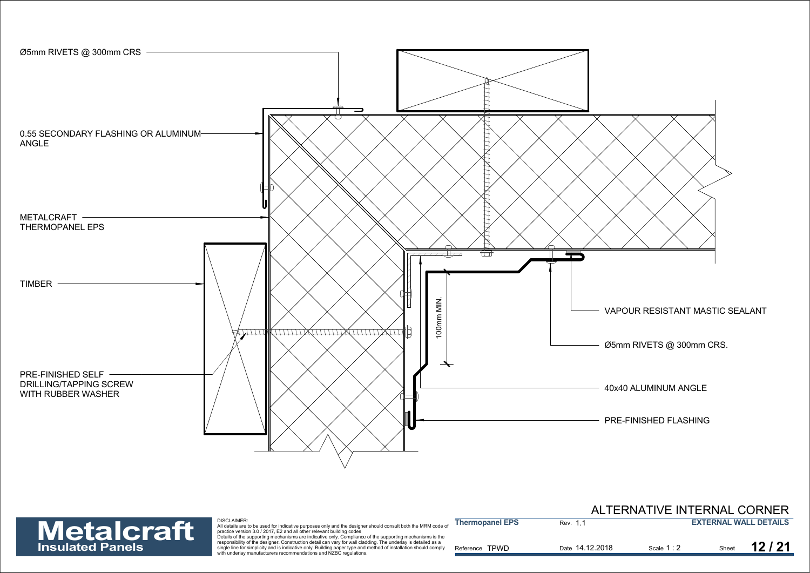

**Insulated** 

|                         |                                                                                                                                                                                                                                                                                                                  |                        |                 | ALTERNATIVE INTERNAL CORNER |       |                              |
|-------------------------|------------------------------------------------------------------------------------------------------------------------------------------------------------------------------------------------------------------------------------------------------------------------------------------------------------------|------------------------|-----------------|-----------------------------|-------|------------------------------|
| <b>Metalcraft</b>       | DISCLAIMER:<br>All details are to be used for indicative purposes only and the designer should consult both the MRM code of<br>practice version 3.0 / 2017, E2 and all other relevant building codes<br>Details of the supporting mechanisms are indicative only. Compliance of the supporting mechanisms is the | <b>Thermopanel EPS</b> | Rev. 1.1        |                             |       | <b>EXTERNAL WALL DETAILS</b> |
| <b>Insulated Panels</b> | responsibility of the designer. Construction detail can vary for wall cladding. The underlay is detailed as a<br>single line for simplicity and is indicative only. Building paper type and method of installation should comply<br>with underlay manufacturers recommendations and NZBC regulations.            | Reference TPWD         | Date 14.12.2018 | Scale $1:2$                 | Sheet | 12/2 <sup>4</sup>            |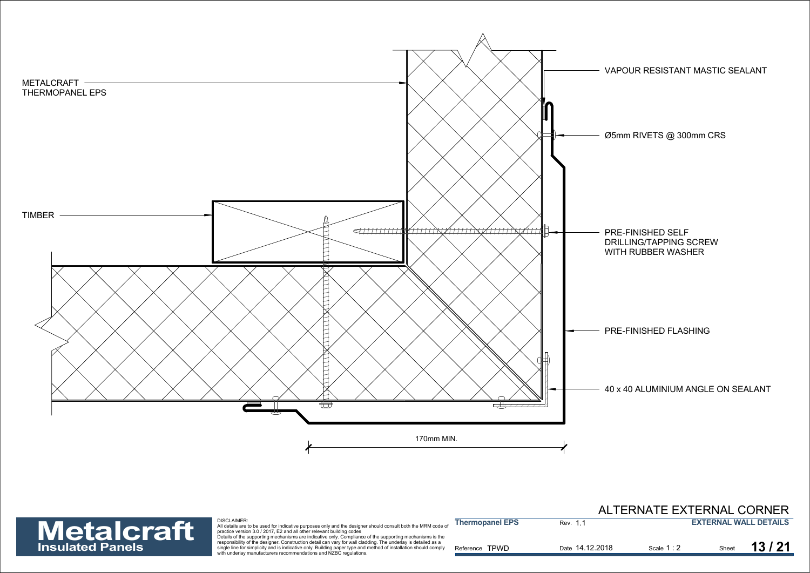

## ALTERNATE EXTERNAL CORNER



| <b>Metalcraft</b>       | <b>DISCLAIMER:</b><br>All details are to be used for indicative purposes only and the designer should consult both the MRM code of<br>practice version 3.0 / 2017, E2 and all other relevant building codes<br>Details of the supporting mechanisms are indicative only. Compliance of the supporting mechanisms is the | <b>Thermopanel EPS</b> | Rev. 1.1        |           |       | <b>EXTERNAL WALL DETAILS</b> |
|-------------------------|-------------------------------------------------------------------------------------------------------------------------------------------------------------------------------------------------------------------------------------------------------------------------------------------------------------------------|------------------------|-----------------|-----------|-------|------------------------------|
| <b>Insulated Panels</b> | responsibility of the designer. Construction detail can vary for wall cladding. The underlay is detailed as a<br>single line for simplicity and is indicative only. Building paper type and method of installation should comply<br>with underlay manufacturers recommendations and NZBC regulations.                   | Reference TPWD         | Date 14.12.2018 | Scale 1:2 | Sheet | 13/21                        |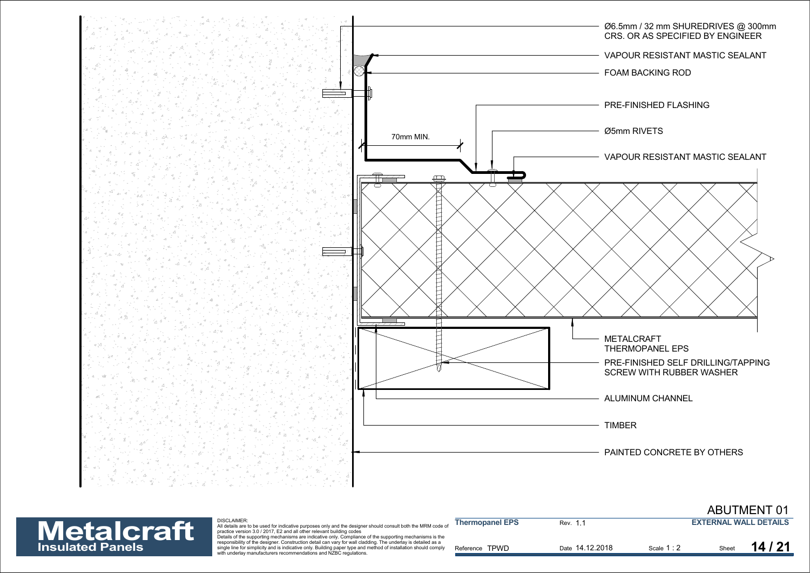



| <b>Metalcraft</b>       | DISCLAIMER:<br>All details are to be used for indicative purposes only and the designer should consult both the MRM code of<br>practice version 3.0 / 2017. E2 and all other relevant building codes                                                                                                                                                                                                              | <b>Thermopanel EPS</b> | Rev. 1.         |             | <b>EXTERNAL WALL DETAILS</b> |       |
|-------------------------|-------------------------------------------------------------------------------------------------------------------------------------------------------------------------------------------------------------------------------------------------------------------------------------------------------------------------------------------------------------------------------------------------------------------|------------------------|-----------------|-------------|------------------------------|-------|
| <b>Insulated Panels</b> | Details of the supporting mechanisms are indicative only. Compliance of the supporting mechanisms is the<br>responsibility of the designer. Construction detail can vary for wall cladding. The underlay is detailed as a<br>single line for simplicity and is indicative only. Building paper type and method of installation should comply<br>with underlay manufacturers recommendations and NZBC regulations. | Reference TPWD         | Date 14.12.2018 | Scale 1 : 2 |                              | 14/21 |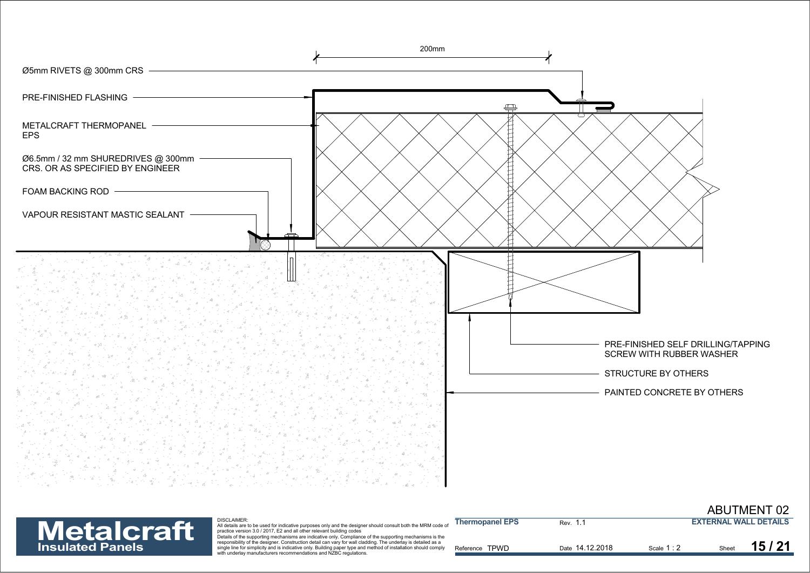



| <b>Metalcraft</b>       | <b>DISCLAIMER:</b><br>All details are to be used for indicative purposes only and the designer should consult both the MRM code on<br>practice version 3.0 / 2017. E2 and all other relevant building codes<br>Details of the supporting mechanisms are indicative only. Compliance of the supporting mechanisms is the | <b>Thermopanel EPS</b> | Rev. 1          |           | <b>EXTERNAL WALL DETAILS</b> |       |
|-------------------------|-------------------------------------------------------------------------------------------------------------------------------------------------------------------------------------------------------------------------------------------------------------------------------------------------------------------------|------------------------|-----------------|-----------|------------------------------|-------|
| <b>Insulated Panels</b> | responsibility of the designer. Construction detail can vary for wall cladding. The underlay is detailed as a<br>single line for simplicity and is indicative only. Building paper type and method of installation should comply<br>with underlay manufacturers recommendations and NZBC regulations.                   | Reference TPWD         | Date 14.12.2018 | Scale 1:2 | Sheet                        | 15/21 |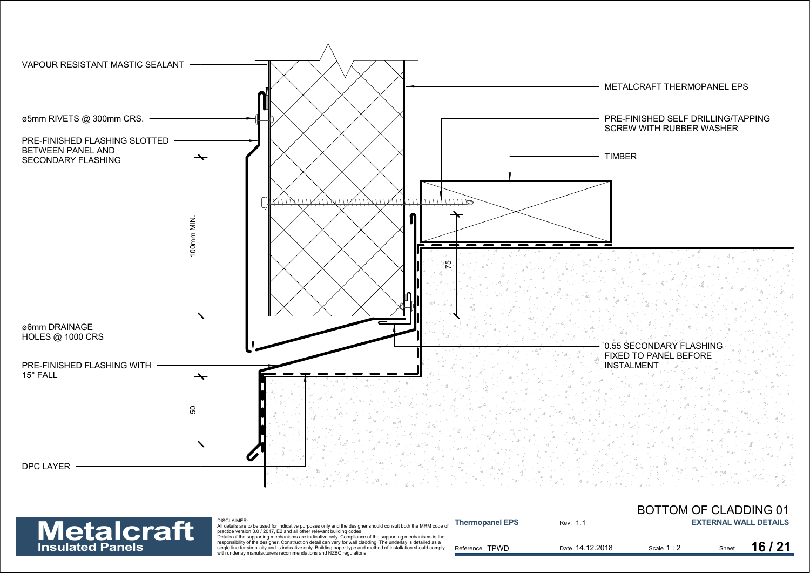



| <b>Metalcraft</b>       | <b>DISCLAIMER:</b><br>All details are to be used for indicative purposes only and the designer should consult both the MRM code of<br>practice version 3.0 / 2017. E2 and all other relevant building codes                                                                                                                                                                                                       | <b>Thermopanel EPS</b> | Rev. 1. .       |           |       | <b>EXTERNAL WALL DETAILS</b> |
|-------------------------|-------------------------------------------------------------------------------------------------------------------------------------------------------------------------------------------------------------------------------------------------------------------------------------------------------------------------------------------------------------------------------------------------------------------|------------------------|-----------------|-----------|-------|------------------------------|
| <b>Insulated Panels</b> | Details of the supporting mechanisms are indicative only. Compliance of the supporting mechanisms is the<br>responsibility of the designer. Construction detail can vary for wall cladding. The underlay is detailed as a<br>single line for simplicity and is indicative only. Building paper type and method of installation should comply<br>with underlay manufacturers recommendations and NZBC regulations. | Reference TPWD         | Date 14.12.2018 | Scale 1:2 | Sheet | 16/21                        |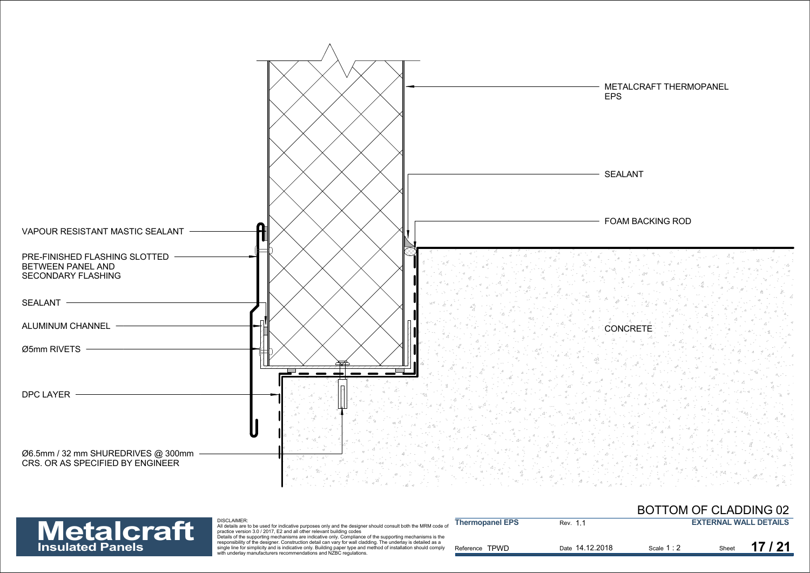



| <b>Metalcraft</b>       | <b>DISCLAIMER:</b><br>All details are to be used for indicative purposes only and the designer should consult both the MRM code of<br>practice version 3.0 / 2017. E2 and all other relevant building codes<br>Details of the supporting mechanisms are indicative only. Compliance of the supporting mechanisms is the | <b>Thermopanel EPS</b> | Rev. 1.         |           | <b>EXTERNAL WALL DETAILS</b> |  |
|-------------------------|-------------------------------------------------------------------------------------------------------------------------------------------------------------------------------------------------------------------------------------------------------------------------------------------------------------------------|------------------------|-----------------|-----------|------------------------------|--|
| <b>Insulated Panels</b> | responsibility of the designer. Construction detail can vary for wall cladding. The underlay is detailed as a<br>single line for simplicity and is indicative only. Building paper type and method of installation should comply<br>with underlay manufacturers recommendations and NZBC regulations.                   | Reference TPWD         | Date 14.12.2018 | Scale 1:2 | 17/21<br>Sheet               |  |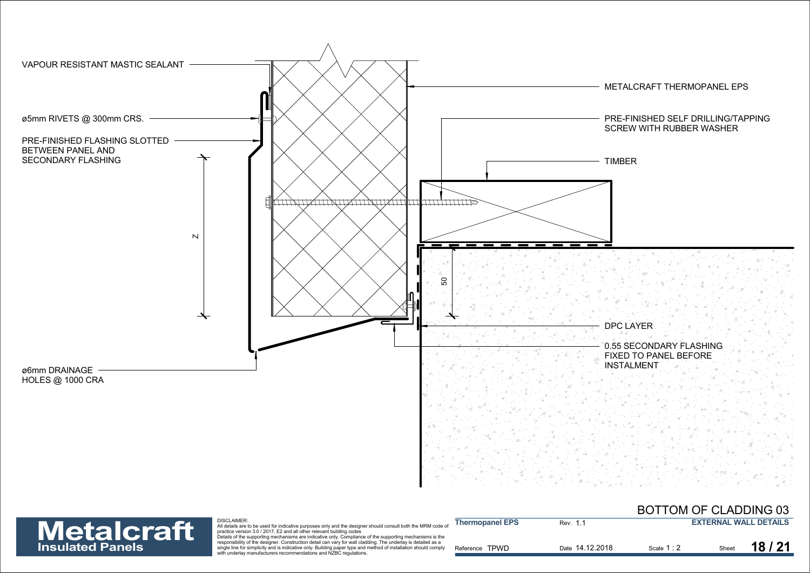



| <b>Metalcraft</b>       | DISCLAIMER:<br>All details are to be used for indicative purposes only and the designer should consult both the MRM code of<br>practice version 3.0 / 2017. E2 and all other relevant building codes<br>Details of the supporting mechanisms are indicative only. Compliance of the supporting mechanisms is the | <b>Thermopanel EPS</b> | Rev. 1.1        |             |       | <b>EXTERNAL WALL DETAILS</b> |
|-------------------------|------------------------------------------------------------------------------------------------------------------------------------------------------------------------------------------------------------------------------------------------------------------------------------------------------------------|------------------------|-----------------|-------------|-------|------------------------------|
| <b>Insulated Panels</b> | responsibility of the designer. Construction detail can vary for wall cladding. The underlay is detailed as a<br>single line for simplicity and is indicative only. Building paper type and method of installation should comply<br>with underlay manufacturers recommendations and NZBC regulations.            | Reference TPWD         | Date 14.12.2018 | Scale 1 : 2 | Sheet | 18/21                        |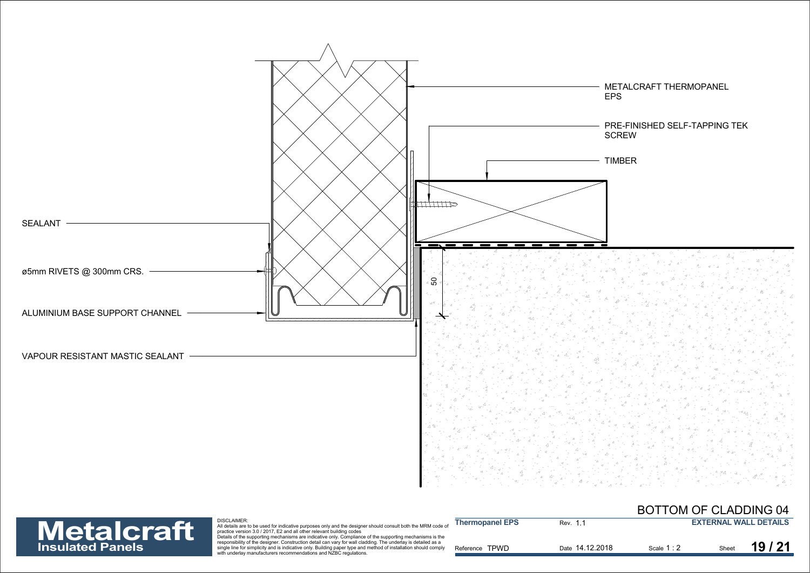



| <b>Metalcraft</b>       | <b>DISCLAIMER:</b><br>All details are to be used for indicative purposes only and the designer should consult both the MRM code of<br>practice version 3.0 / 2017. E2 and all other relevant building codes                                                                                                                                                                                                       | <b>Thermopanel EPS</b> | Rev. 1.1        |           |       | <b>EXTERNAL WALL DETAILS</b> |
|-------------------------|-------------------------------------------------------------------------------------------------------------------------------------------------------------------------------------------------------------------------------------------------------------------------------------------------------------------------------------------------------------------------------------------------------------------|------------------------|-----------------|-----------|-------|------------------------------|
| <b>Insulated Panels</b> | Details of the supporting mechanisms are indicative only. Compliance of the supporting mechanisms is the<br>responsibility of the designer. Construction detail can vary for wall cladding. The underlay is detailed as a<br>single line for simplicity and is indicative only. Building paper type and method of installation should comply<br>with underlay manufacturers recommendations and NZBC regulations. | Reference TPWD         | Date 14.12.2018 | Scale 1:2 | Sheet | 19/21                        |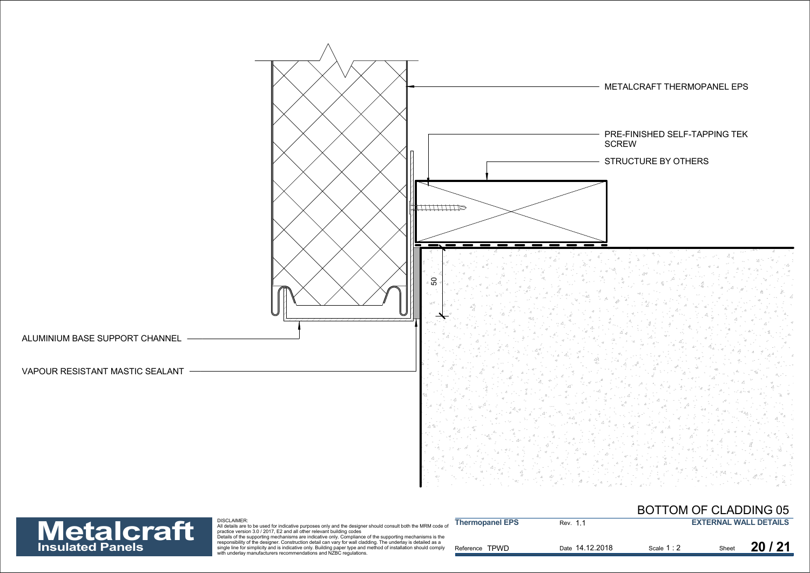

## **Insulated Panels**

| <b>Metalcraft</b>       | <b>DISCLAIMER:</b><br>All details are to be used for indicative purposes only and the designer should consult both the MRM code of<br>practice version 3.0 / 2017. E2 and all other relevant building codes<br>Details of the supporting mechanisms are indicative only. Compliance of the supporting mechanisms is the | <b>Thermopanel EPS</b> | Rev. 1          |             |       | <b>EXTERNAL WALL DETAILS</b> |
|-------------------------|-------------------------------------------------------------------------------------------------------------------------------------------------------------------------------------------------------------------------------------------------------------------------------------------------------------------------|------------------------|-----------------|-------------|-------|------------------------------|
| <b>Insulated Panels</b> | responsibility of the designer. Construction detail can vary for wall cladding. The underlay is detailed as a<br>single line for simplicity and is indicative only. Building paper type and method of installation should comply<br>with underlay manufacturers recommendations and NZBC regulations.                   | Reference TPWD         | Date 14.12.2018 | Scale 1 : 2 | Sheet | 20/21                        |